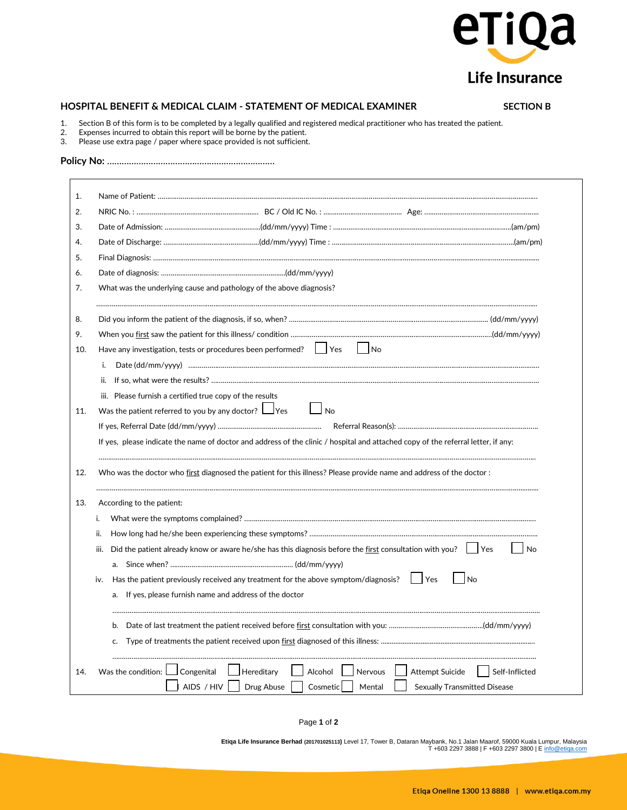

## **HOSPITAL BENEFIT & MEDICAL CLAIM - STATEMENT OF MEDICAL EXAMINER SECTION B**

- 1. Section B of this form is to be completed by a legally qualified and registered medical practitioner who has treated the patient.
- 2. Expenses incurred to obtain this report will be borne by the patient.<br>3. Please use extra page / paper where space provided is not sufficient
- Please use extra page / paper where space provided is not sufficient.

**Policy No:** ……………………………………………………………

| 4.                |                                                                                                                                   |  |  |  |
|-------------------|-----------------------------------------------------------------------------------------------------------------------------------|--|--|--|
| 5.                |                                                                                                                                   |  |  |  |
| 6.                |                                                                                                                                   |  |  |  |
| 7.                | What was the underlying cause and pathology of the above diagnosis?                                                               |  |  |  |
| 8.                |                                                                                                                                   |  |  |  |
| 9.                |                                                                                                                                   |  |  |  |
| 10.               | $ $   Yes<br><b>No</b><br>Have any investigation, tests or procedures been performed?                                             |  |  |  |
|                   | i.                                                                                                                                |  |  |  |
|                   |                                                                                                                                   |  |  |  |
|                   | iii. Please furnish a certified true copy of the results                                                                          |  |  |  |
|                   |                                                                                                                                   |  |  |  |
|                   | Was the patient referred to you by any doctor? $\Box$ Yes<br>$\Box$ No                                                            |  |  |  |
|                   |                                                                                                                                   |  |  |  |
|                   | If yes, please indicate the name of doctor and address of the clinic / hospital and attached copy of the referral letter, if any: |  |  |  |
|                   | Who was the doctor who first diagnosed the patient for this illness? Please provide name and address of the doctor:               |  |  |  |
|                   |                                                                                                                                   |  |  |  |
|                   | According to the patient:                                                                                                         |  |  |  |
|                   | i.                                                                                                                                |  |  |  |
|                   | ii.                                                                                                                               |  |  |  |
|                   | Did the patient already know or aware he/she has this diagnosis before the first consultation with you? Yes<br>No<br>iii.         |  |  |  |
| 11.<br>12.<br>13. |                                                                                                                                   |  |  |  |
|                   | Yes<br> N <sub>O</sub><br>Has the patient previously received any treatment for the above symptom/diagnosis?<br>iv.               |  |  |  |
|                   | If yes, please furnish name and address of the doctor<br>a.                                                                       |  |  |  |
|                   |                                                                                                                                   |  |  |  |
|                   | b.                                                                                                                                |  |  |  |

Page **<sup>1</sup>** of **<sup>2</sup>**

 **Etiqa Life Insurance Berhad (201701025113)** Level 17, Tower B, Dataran Maybank, No.1 Jalan Maarof, 59000 Kuala Lumpur, Malaysia T +603 2297 3888 | F +603 2297 3800 | E [info@etiqa.com](mailto:info@etiqa.com)